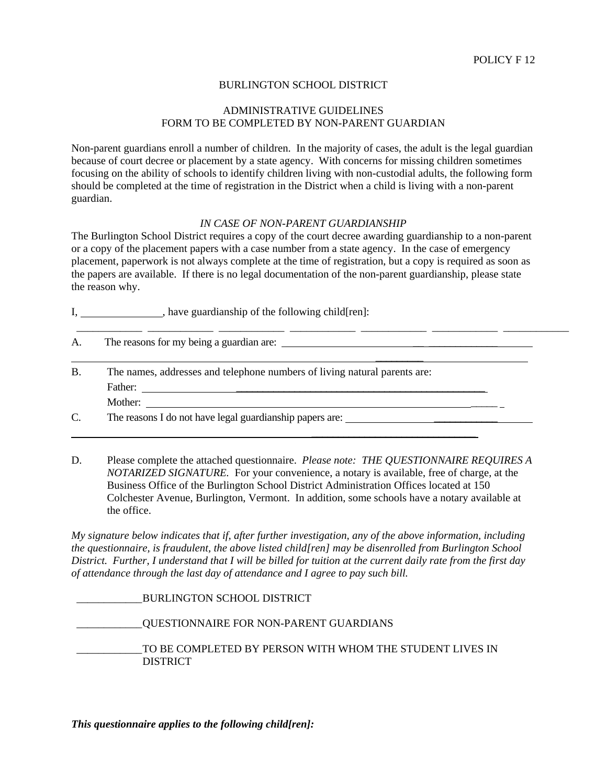## BURLINGTON SCHOOL DISTRICT

## ADMINISTRATIVE GUIDELINES FORM TO BE COMPLETED BY NON-PARENT GUARDIAN

Non-parent guardians enroll a number of children. In the majority of cases, the adult is the legal guardian because of court decree or placement by a state agency. With concerns for missing children sometimes focusing on the ability of schools to identify children living with non-custodial adults, the following form should be completed at the time of registration in the District when a child is living with a non-parent guardian.

## *IN CASE OF NON-PARENT GUARDIANSHIP*

The Burlington School District requires a copy of the court decree awarding guardianship to a non-parent or a copy of the placement papers with a case number from a state agency. In the case of emergency placement, paperwork is not always complete at the time of registration, but a copy is required as soon as the papers are available. If there is no legal documentation of the non-parent guardianship, please state the reason why.

I, have guardianship of the following child[ren]:

| A. |                                                                           |
|----|---------------------------------------------------------------------------|
| Β. | The names, addresses and telephone numbers of living natural parents are: |
|    |                                                                           |
|    | Mother:                                                                   |
| C. | The reasons I do not have legal guardianship papers are:                  |

D. Please complete the attached questionnaire. *Please note: THE QUESTIONNAIRE REQUIRES A NOTARIZED SIGNATURE.* For your convenience, a notary is available, free of charge, at the Business Office of the Burlington School District Administration Offices located at 150 Colchester Avenue, Burlington, Vermont. In addition, some schools have a notary available at the office.

 $\mathcal{L}=\{1,2,3,4,5\}$  , we can assume that  $\mathcal{L}=\{1,2,3,4,5\}$  , we can assume that  $\mathcal{L}=\{1,2,3,4,5\}$ 

*My signature below indicates that if, after further investigation, any of the above information, including the questionnaire, is fraudulent, the above listed child[ren] may be disenrolled from Burlington School District. Further, I understand that I will be billed for tuition at the current daily rate from the first day of attendance through the last day of attendance and I agree to pay such bill.* 

 \_\_\_\_\_\_\_\_\_\_\_\_ BURLINGTON SCHOOL DISTRICT \_\_\_\_\_\_\_\_\_\_\_\_ QUESTIONNAIRE FOR NON-PARENT GUARDIANS \_\_\_\_\_\_\_\_\_\_\_\_ TO BE COMPLETED BY PERSON WITH WHOM THE STUDENT LIVES IN DISTRICT

*This questionnaire applies to the following child[ren]:*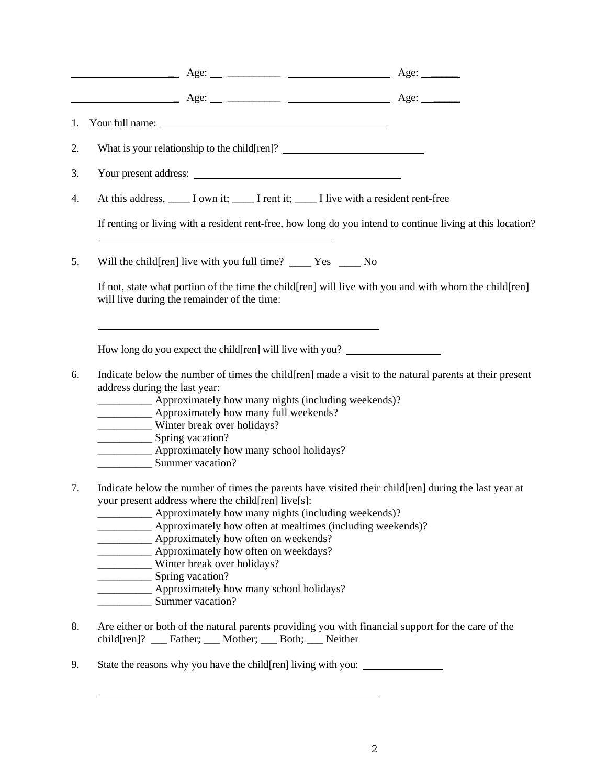|    | What is your relationship to the child[ren]? ___________________________________                                                                                                                                                                                                                                                                                    |  |
|----|---------------------------------------------------------------------------------------------------------------------------------------------------------------------------------------------------------------------------------------------------------------------------------------------------------------------------------------------------------------------|--|
|    | Your present address:                                                                                                                                                                                                                                                                                                                                               |  |
|    | At this address, _____ I own it; ______ I rent it; ______ I live with a resident rent-free                                                                                                                                                                                                                                                                          |  |
|    | If renting or living with a resident rent-free, how long do you intend to continue living at this location?                                                                                                                                                                                                                                                         |  |
| 5. | Will the child[ren] live with you full time? ____ Yes ____ No                                                                                                                                                                                                                                                                                                       |  |
|    | If not, state what portion of the time the child[ren] will live with you and with whom the child[ren]<br>will live during the remainder of the time:                                                                                                                                                                                                                |  |
|    | How long do you expect the child[ren] will live with you?                                                                                                                                                                                                                                                                                                           |  |
| 6. | Indicate below the number of times the child [ren] made a visit to the natural parents at their present<br>address during the last year:<br>_____________ Approximately how many nights (including weekends)?<br><b>EXAMPLE APPROXIMATELY how many full weekends?</b><br>Winter break over holidays?<br>Approximately how many school holidays?<br>Summer vacation? |  |
|    | Indicate below the number of times the parents have visited their child[ren] during the last year at<br>your present address where the child[ren] live[s]:                                                                                                                                                                                                          |  |

- child[ren]? \_\_\_ Father; \_\_\_ Mother; \_\_\_ Both; \_\_\_ Neither
- 9. State the reasons why you have the child[ren] living with you: \_\_\_\_\_\_\_\_\_\_\_\_\_\_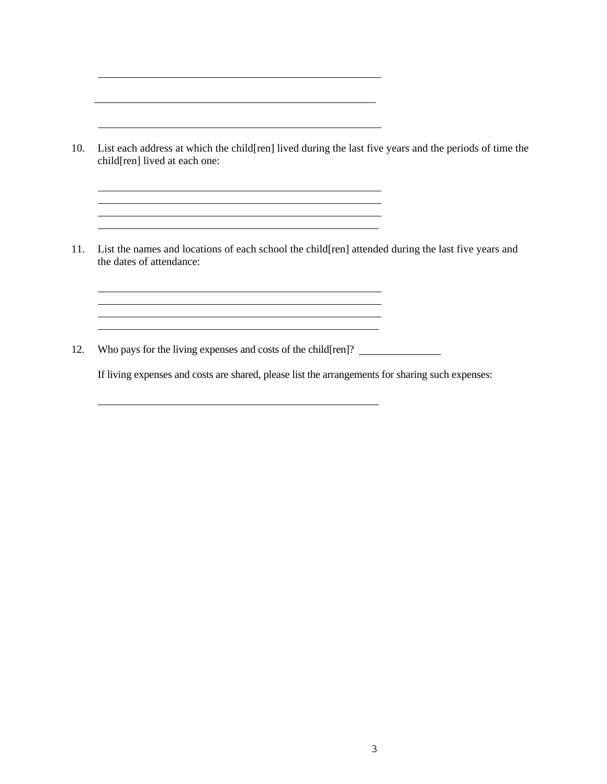10. List each address at which the child[ren] lived during the last five years and the periods of time the child[ren] lived at each one:

<u> 1980 - Johann Barbara, martxa alemaniar amerikan a</u>

<u> 1989 - Johann Barn, mars and de Brasilian (b. 1989)</u> <u> 1989 - Johann Barn, mars eta bat erroman erroman erroman erroman erroman erroman erroman erroman erroman err</u>

11. List the names and locations of each school the child[ren] attended during the last five years and the dates of attendance:

12. Who pays for the living expenses and costs of the child[ren]?

If living expenses and costs are shared, please list the arrangements for sharing such expenses: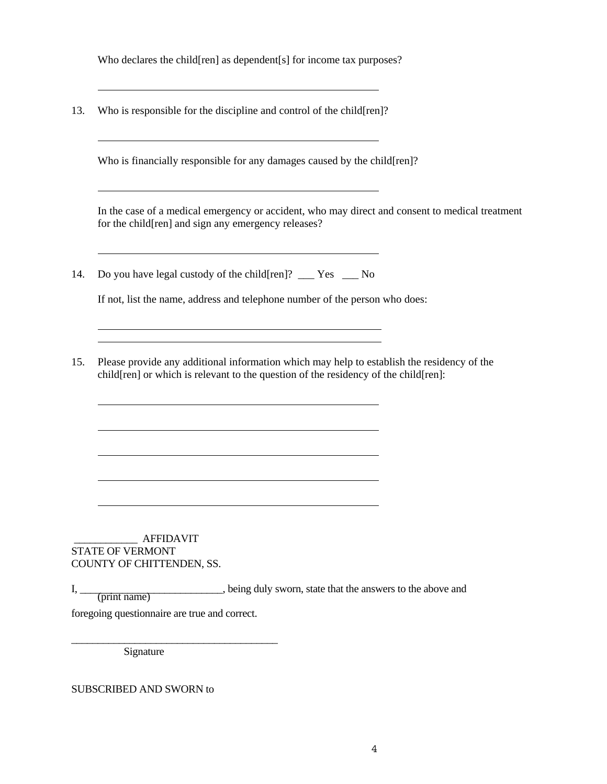Who declares the child[ren] as dependent[s] for income tax purposes?

13. Who is responsible for the discipline and control of the child[ren]?

Who is financially responsible for any damages caused by the child [ren]?

 In the case of a medical emergency or accident, who may direct and consent to medical treatment for the child[ren] and sign any emergency releases?

14. Do you have legal custody of the child[ren]? Yes No

If not, list the name, address and telephone number of the person who does:

15. Please provide any additional information which may help to establish the residency of the child[ren] or which is relevant to the question of the residency of the child[ren]:

 \_\_\_\_\_\_\_\_\_\_\_\_ AFFIDAVIT STATE OF VERMONT COUNTY OF CHITTENDEN, SS.

I, being duly sworn, state that the answers to the above and  $I, \underline{\hspace{2cm}}$  (print name) foregoing questionnaire are true and correct.

Signature

\_\_\_\_\_\_\_\_\_\_\_\_\_\_\_\_\_\_\_\_\_\_\_\_\_\_\_\_\_\_\_\_\_\_\_\_\_\_\_

SUBSCRIBED AND SWORN to